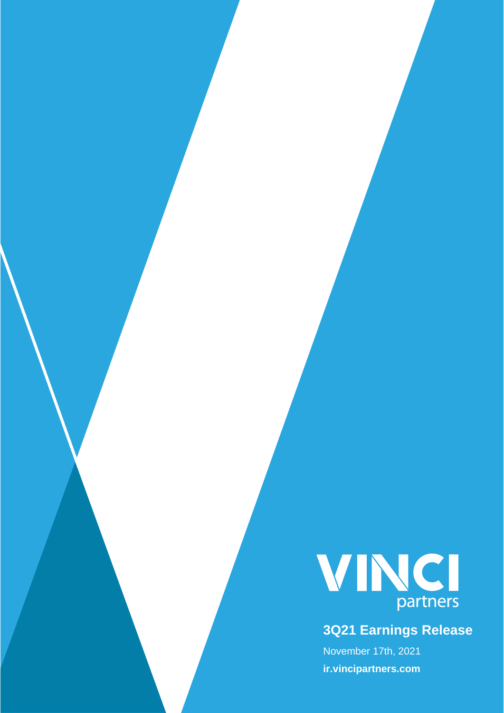

# **3Q21 Earnings Release**

November 17th, 2021 **ir.vincipartners.com**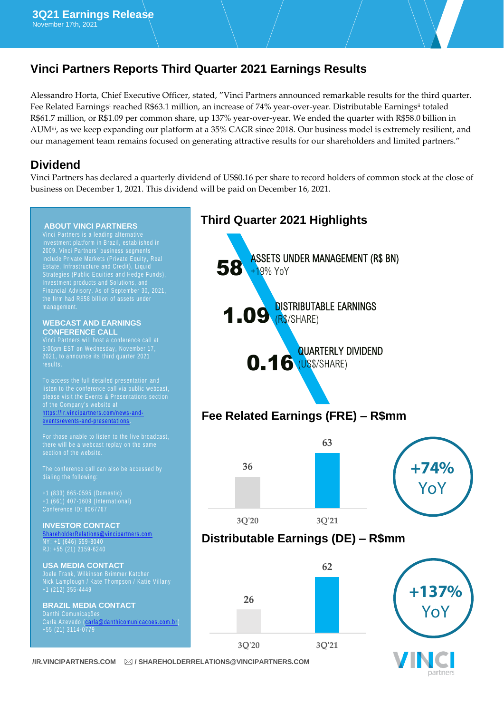## **Vinci Partners Reports Third Quarter 2021 Earnings Results**

Alessandro Horta, Chief Executive Officer, stated, "Vinci Partners announced remarkable results for the third quarter. Fee Related Earnings<sup>i</sup> reached R\$63.1 million, an increase of 74% year-over-year. Distributable Earnings<sup>ii</sup> totaled R\$61.7 million, or R\$1.09 per common share, up 137% year-over-year. We ended the quarter with R\$58.0 billion in AUMiii, as we keep expanding our platform at a 35% CAGR since 2018. Our business model is extremely resilient, and our management team remains focused on generating attractive results for our shareholders and limited partners."

### **Dividend**

Vinci Partners has declared a quarterly dividend of US\$0.16 per share to record holders of common stock at the close of business on December 1, 2021. This dividend will be paid on December 16, 2021.

#### **ABOUT VINCI PARTNERS**

investment platform in Brazil, established in 2009. Vinci Partners' business segments include Private Markets (Private Equity, Real Estate, Infrastructure and Credit), Liquid Strategies (Public Equities and Hedge Funds), Investment products and Solutions, and Financial Advisory. As of September 30, 2021, the firm had R\$58 billion of assets under

#### **WEBCAST AND EARNINGS CONFERENCE CALL**

To access the full detailed presentation and listen to the conference call via public webcast, please visit the Events & Presentations section <u>https://ir.vincipartners.com/news-and-</u>

events/events-and-presentations.

For those unable to listen to the live broadcast,

The conference call can also be accessed by

+1 (833) 665 -0595 (Domes tic )

#### **INVESTOR CONTACT**

*<u>Dvincipartners.com</u>* RJ: +55 (21) 2159 -6240

**USA MEDIA CONTACT**  Nick Lamplough / Kate Thompson / Katie Villany +1 (212) 355 -4449

**BRAZIL MEDIA CONTACT** Danthi Comunicações Carla Azevedo (carla@danthicomunicacoes.com.br) +55 (21) 3114 -0779



partners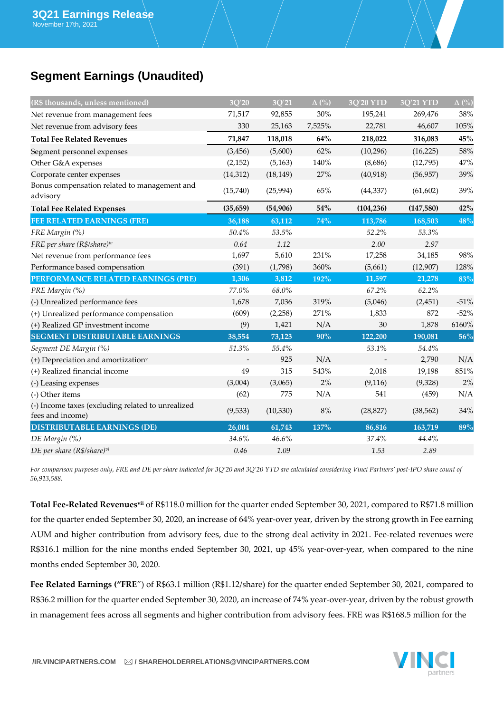# **Segment Earnings (Unaudited)**

| (R\$ thousands, unless mentioned)                        | 3Q'20     | 3Q'21     | $\Delta$ (%) | <b>3Q'20 YTD</b> | <b>3Q'21 YTD</b> | $\Delta$ (%) |
|----------------------------------------------------------|-----------|-----------|--------------|------------------|------------------|--------------|
| Net revenue from management fees                         | 71,517    | 92,855    | $30\%$       | 195,241          | 269,476          | 38%          |
| Net revenue from advisory fees                           | 330       | 25,163    | 7,525%       | 22,781           | 46,607           | 105%         |
| <b>Total Fee Related Revenues</b>                        | 71,847    | 118,018   | 64%          | 218,022          | 316,083          | 45%          |
| Segment personnel expenses                               | (3, 456)  | (5,600)   | 62%          | (10, 296)        | (16, 225)        | 58%          |
| Other G&A expenses                                       | (2, 152)  | (5, 163)  | 140%         | (8,686)          | (12,795)         | 47%          |
| Corporate center expenses                                | (14, 312) | (18, 149) | 27%          | (40, 918)        | (56, 957)        | 39%          |
| Bonus compensation related to management and<br>advisory | (15,740)  | (25,994)  | 65%          | (44, 337)        | (61, 602)        | 39%          |
| <b>Total Fee Related Expenses</b>                        | (35, 659) | (54, 906) | 54%          | (104, 236)       | (147,580)        | 42%          |
| <b>FEE RELATED EARNINGS (FRE)</b>                        | 36,188    | 63,112    | 74%          | 113,786          | 168,503          | 48%          |
| FRE Margin (%)                                           | $50.4\%$  | 53.5%     |              | 52.2%            | 53.3%            |              |
| FRE per share (R\$/share)iv                              | 0.64      | 1.12      |              | 2.00             | 2.97             |              |
| Net revenue from performance fees                        | 1,697     | 5,610     | 231%         | 17,258           | 34,185           | 98%          |
| Performance based compensation                           | (391)     | (1,798)   | 360%         | (5,661)          | (12,907)         | 128%         |
| PERFORMANCE RELATED EARNINGS (PRE)                       | 1,306     | 3,812     | 192%         | 11,597           | 21,278           | 83%          |
| PRE Margin (%)                                           | 77.0%     | 68.0%     |              | 67.2%            | 62.2%            |              |
| (-) Unrealized performance fees                          | 1,678     | 7,036     | 319%         | (5,046)          | (2, 451)         | $-51%$       |
| (+) Unrealized performance compensation                  | (609)     | (2,258)   | 271%         | 1,833            | 872              | $-52%$       |
| (+) Realized GP investment income                        | (9)       | 1,421     | N/A          | 30               | 1,878            | 6160%        |
| <b>SEGMENT DISTRIBUTABLE EARNINGS</b>                    | 38,554    | 73,123    | 90%          | 122,200          | 190,081          | 56%          |
| Segment DE Margin (%)                                    | $51.3\%$  | 55.4%     |              | 53.1%            | 54.4%            |              |
| (+) Depreciation and amortization <sup>v</sup>           |           | 925       | N/A          |                  | 2,790            | N/A          |
| (+) Realized financial income                            | 49        | 315       | 543%         | 2,018            | 19,198           | 851%         |
| (-) Leasing expenses                                     | (3,004)   | (3,065)   | 2%           | (9, 116)         | (9,328)          | 2%           |
| (-) Other items                                          | (62)      | 775       | N/A          | 541              | (459)            | N/A          |
| (-) Income taxes (excluding related to unrealized        | (9,533)   | (10, 330) | $8\%$        | (28, 827)        | (38, 562)        | 34%          |
| fees and income)                                         |           |           |              |                  |                  |              |
| <b>DISTRIBUTABLE EARNINGS (DE)</b>                       | 26,004    | 61,743    | 137%         | 86,816           | 163,719          | 89%          |
| DE Margin (%)                                            | 34.6%     | 46.6%     |              | 37.4%            | 44.4%            |              |
| DE per share (R\$/share)vi                               | 0.46      | 1.09      |              | 1.53             | 2.89             |              |

*For comparison purposes only, FRE and DE per share indicated for 3Q'20 and 3Q'20 YTD are calculated considering Vinci Partners' post-IPO share count of 56,913,588.* 

**Total Fee-Related Revenuesvii** of R\$118.0 million for the quarter ended September 30, 2021, compared to R\$71.8 million for the quarter ended September 30, 2020, an increase of 64% year-over year, driven by the strong growth in Fee earning AUM and higher contribution from advisory fees, due to the strong deal activity in 2021. Fee-related revenues were R\$316.1 million for the nine months ended September 30, 2021, up 45% year-over-year, when compared to the nine months ended September 30, 2020.

Fee Related Earnings ("FRE") of R\$63.1 million (R\$1.12/share) for the quarter ended September 30, 2021, compared to R\$36.2 million for the quarter ended September 30, 2020, an increase of 74% year-over-year, driven by the robust growth in management fees across all segments and higher contribution from advisory fees. FRE was R\$168.5 million for the

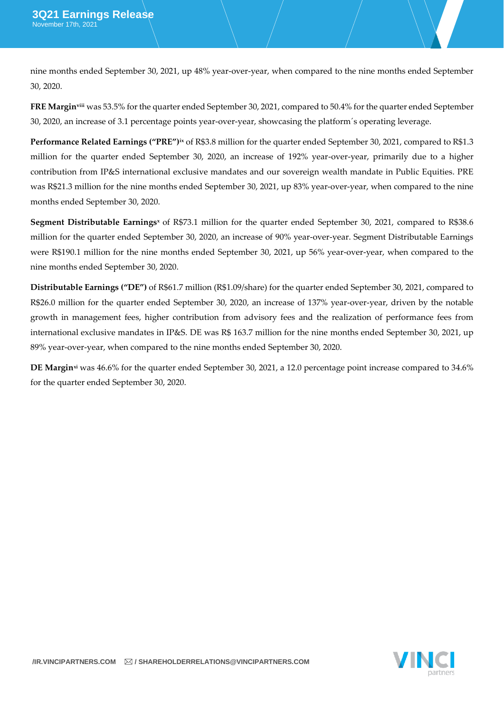nine months ended September 30, 2021, up 48% year-over-year, when compared to the nine months ended September 30, 2020.

**FRE Marginviii** was 53.5% for the quarter ended September 30, 2021, compared to 50.4% for the quarter ended September 30, 2020, an increase of 3.1 percentage points year-over-year, showcasing the platform´s operating leverage.

**Performance Related Earnings ("PRE")ix** of R\$3.8 million for the quarter ended September 30, 2021, compared to R\$1.3 million for the quarter ended September 30, 2020, an increase of 192% year-over-year, primarily due to a higher contribution from IP&S international exclusive mandates and our sovereign wealth mandate in Public Equities. PRE was R\$21.3 million for the nine months ended September 30, 2021, up 83% year-over-year, when compared to the nine months ended September 30, 2020.

**Segment Distributable Earnings<sup>x</sup>** of R\$73.1 million for the quarter ended September 30, 2021, compared to R\$38.6 million for the quarter ended September 30, 2020, an increase of 90% year-over-year. Segment Distributable Earnings were R\$190.1 million for the nine months ended September 30, 2021, up 56% year-over-year, when compared to the nine months ended September 30, 2020.

**Distributable Earnings ("DE")** of R\$61.7 million (R\$1.09/share) for the quarter ended September 30, 2021, compared to R\$26.0 million for the quarter ended September 30, 2020, an increase of 137% year-over-year, driven by the notable growth in management fees, higher contribution from advisory fees and the realization of performance fees from international exclusive mandates in IP&S. DE was R\$ 163.7 million for the nine months ended September 30, 2021, up 89% year-over-year, when compared to the nine months ended September 30, 2020.

**DE Marginxi** was 46.6% for the quarter ended September 30, 2021, a 12.0 percentage point increase compared to 34.6% for the quarter ended September 30, 2020.

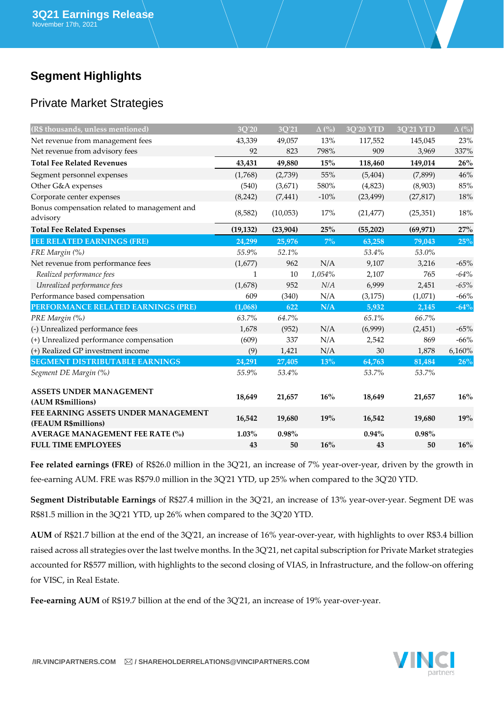# **Segment Highlights**

### Private Market Strategies

| (R\$ thousands, unless mentioned)                          | 3Q'20     | 3Q'21    | $\Delta$ (%) | <b>3O'20 YTD</b> | <b>3O'21 YTD</b> | $\Delta$ (%) |
|------------------------------------------------------------|-----------|----------|--------------|------------------|------------------|--------------|
| Net revenue from management fees                           | 43,339    | 49,057   | 13%          | 117,552          | 145,045          | 23%          |
| Net revenue from advisory fees                             | 92        | 823      | 798%         | 909              | 3,969            | 337%         |
| <b>Total Fee Related Revenues</b>                          | 43,431    | 49,880   | 15%          | 118,460          | 149,014          | 26%          |
| Segment personnel expenses                                 | (1,768)   | (2,739)  | 55%          | (5, 404)         | (7,899)          | 46%          |
| Other G&A expenses                                         | (540)     | (3,671)  | 580%         | (4,823)          | (8,903)          | 85%          |
| Corporate center expenses                                  | (8, 242)  | (7, 441) | $-10\%$      | (23, 499)        | (27, 817)        | 18%          |
| Bonus compensation related to management and<br>advisory   | (8,582)   | (10,053) | 17%          | (21, 477)        | (25, 351)        | 18%          |
| <b>Total Fee Related Expenses</b>                          | (19, 132) | (23,904) | 25%          | (55,202)         | (69, 971)        | 27%          |
| <b>FEE RELATED EARNINGS (FRE)</b>                          | 24,299    | 25,976   | $7\%$        | 63,258           | 79,043           | 25%          |
| FRE Margin (%)                                             | 55.9%     | 52.1%    |              | 53.4%            | 53.0%            |              |
| Net revenue from performance fees                          | (1,677)   | 962      | N/A          | 9,107            | 3,216            | $-65%$       |
| Realized performance fees                                  | 1         | 10       | 1,054%       | 2,107            | 765              | $-64%$       |
| Unrealized performance fees                                | (1,678)   | 952      | N/A          | 6,999            | 2,451            | $-65%$       |
| Performance based compensation                             | 609       | (340)    | N/A          | (3, 175)         | (1,071)          | $-66%$       |
| PERFORMANCE RELATED EARNINGS (PRE)                         | (1,068)   | 622      | N/A          | 5,932            | 2,145            | $-64%$       |
| PRE Margin (%)                                             | 63.7%     | 64.7%    |              | 65.1%            | 66.7%            |              |
| (-) Unrealized performance fees                            | 1,678     | (952)    | N/A          | (6,999)          | (2, 451)         | $-65%$       |
| (+) Unrealized performance compensation                    | (609)     | 337      | N/A          | 2,542            | 869              | $-66%$       |
| (+) Realized GP investment income                          | (9)       | 1,421    | N/A          | 30               | 1,878            | 6,160%       |
| <b>SEGMENT DISTRIBUTABLE EARNINGS</b>                      | 24,291    | 27,405   | 13%          | 64,763           | 81,484           | 26%          |
| Segment DE Margin (%)                                      | 55.9%     | 53.4%    |              | 53.7%            | 53.7%            |              |
| <b>ASSETS UNDER MANAGEMENT</b>                             |           |          |              |                  |                  |              |
| (AUM R\$millions)                                          | 18,649    | 21,657   | 16%          | 18,649           | 21,657           | 16%          |
| FEE EARNING ASSETS UNDER MANAGEMENT<br>(FEAUM R\$millions) | 16,542    | 19,680   | 19%          | 16,542           | 19,680           | 19%          |
| <b>AVERAGE MANAGEMENT FEE RATE (%)</b>                     | $1.03\%$  | $0.98\%$ |              | $0.94\%$         | $0.98\%$         |              |
| <b>FULL TIME EMPLOYEES</b>                                 | 43        | 50       | 16%          | 43               | 50               | 16%          |

**Fee related earnings (FRE)** of R\$26.0 million in the 3Q'21, an increase of 7% year-over-year, driven by the growth in fee-earning AUM. FRE was R\$79.0 million in the 3Q'21 YTD, up 25% when compared to the 3Q'20 YTD.

**Segment Distributable Earnings** of R\$27.4 million in the 3Q'21, an increase of 13% year-over-year. Segment DE was R\$81.5 million in the 3Q'21 YTD, up 26% when compared to the 3Q'20 YTD.

**AUM** of R\$21.7 billion at the end of the 3Q'21, an increase of 16% year-over-year, with highlights to over R\$3.4 billion raised across all strategies over the last twelve months. In the 3Q'21, net capital subscription for Private Market strategies accounted for R\$577 million, with highlights to the second closing of VIAS, in Infrastructure, and the follow-on offering for VISC, in Real Estate.

**Fee-earning AUM** of R\$19.7 billion at the end of the 3Q'21, an increase of 19% year-over-year.

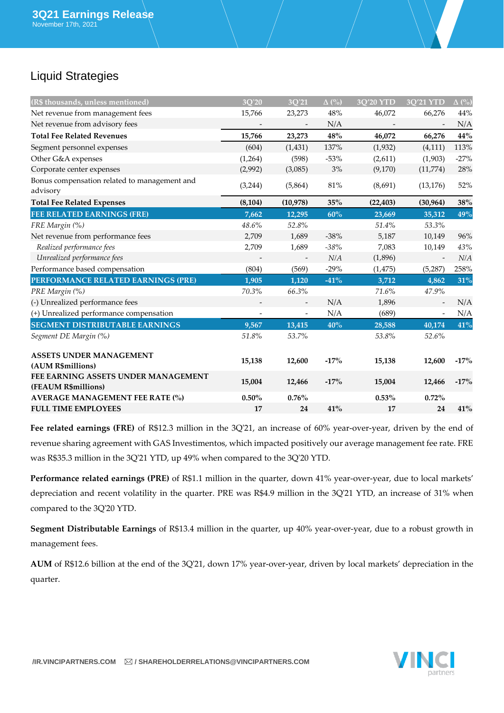# Liquid Strategies

| (R\$ thousands, unless mentioned)                          | 3Q'20                    | 3Q'21             | $\Delta$ (%) | 3Q'20 YTD | 3Q'21 YTD                | $\Delta$ (%) |
|------------------------------------------------------------|--------------------------|-------------------|--------------|-----------|--------------------------|--------------|
| Net revenue from management fees                           | 15,766                   | 23,273            | 48%          | 46,072    | 66,276                   | 44%          |
| Net revenue from advisory fees                             |                          |                   | N/A          |           |                          | N/A          |
| <b>Total Fee Related Revenues</b>                          | 15,766                   | 23,273            | 48%          | 46,072    | 66,276                   | 44%          |
| Segment personnel expenses                                 | (604)                    | (1, 431)          | 137%         | (1,932)   | (4, 111)                 | 113%         |
| Other G&A expenses                                         | (1,264)                  | (598)             | $-53%$       | (2,611)   | (1,903)                  | $-27%$       |
| Corporate center expenses                                  | (2,992)                  | (3,085)           | $3\%$        | (9,170)   | (11,774)                 | 28%          |
| Bonus compensation related to management and<br>advisory   | (3,244)                  | (5,864)           | 81%          | (8,691)   | (13, 176)                | 52%          |
| <b>Total Fee Related Expenses</b>                          | (8, 104)                 | (10, 978)         | $35\%$       | (22, 403) | (30, 964)                | 38%          |
| <b>FEE RELATED EARNINGS (FRE)</b>                          | 7,662                    | 12,295            | 60%          | 23,669    | 35,312                   | 49%          |
| FRE Margin (%)                                             | 48.6%                    | 52.8%             |              | 51.4%     | 53.3%                    |              |
| Net revenue from performance fees                          | 2,709                    | 1,689             | $-38%$       | 5,187     | 10,149                   | 96%          |
| Realized performance fees                                  | 2,709                    | 1,689             | $-38\%$      | 7,083     | 10,149                   | 43%          |
| Unrealized performance fees                                |                          |                   | N/A          | (1,896)   |                          | N/A          |
| Performance based compensation                             | (804)                    | (569)             | $-29%$       | (1, 475)  | (5, 287)                 | 258%         |
| PERFORMANCE RELATED EARNINGS (PRE)                         | 1,905                    | 1,120             | $-41%$       | 3,712     | 4,862                    | 31%          |
| PRE Margin (%)                                             | 70.3%                    | 66.3%             |              | 71.6%     | 47.9%                    |              |
| (-) Unrealized performance fees                            |                          |                   | N/A          | 1,896     |                          | N/A          |
| (+) Unrealized performance compensation                    | $\overline{\phantom{a}}$ | $\qquad \qquad -$ | N/A          | (689)     | $\overline{\phantom{a}}$ | N/A          |
| <b>SEGMENT DISTRIBUTABLE EARNINGS</b>                      | 9,567                    | 13,415            | 40%          | 28,588    | 40,174                   | 41%          |
| Segment DE Margin (%)                                      | 51.8%                    | 53.7%             |              | 53.8%     | 52.6%                    |              |
| <b>ASSETS UNDER MANAGEMENT</b><br>(AUM R\$millions)        | 15,138                   | 12,600            | $-17%$       | 15,138    | 12,600                   | $-17%$       |
| FEE EARNING ASSETS UNDER MANAGEMENT<br>(FEAUM R\$millions) | 15,004                   | 12,466            | $-17%$       | 15,004    | 12,466                   | $-17%$       |
| <b>AVERAGE MANAGEMENT FEE RATE (%)</b>                     | $0.50\%$                 | $0.76\%$          |              | $0.53\%$  | $0.72\%$                 |              |
| <b>FULL TIME EMPLOYEES</b>                                 | 17                       | 24                | 41%          | 17        | 24                       | 41%          |

**Fee related earnings (FRE)** of R\$12.3 million in the 3Q'21, an increase of 60% year-over-year, driven by the end of revenue sharing agreement with GAS Investimentos, which impacted positively our average management fee rate. FRE was R\$35.3 million in the 3Q'21 YTD, up 49% when compared to the 3Q'20 YTD.

**Performance related earnings (PRE)** of R\$1.1 million in the quarter, down 41% year-over-year, due to local markets' depreciation and recent volatility in the quarter. PRE was R\$4.9 million in the 3Q'21 YTD, an increase of 31% when compared to the 3Q'20 YTD.

**Segment Distributable Earnings** of R\$13.4 million in the quarter, up 40% year-over-year, due to a robust growth in management fees.

**AUM** of R\$12.6 billion at the end of the 3Q'21, down 17% year-over-year, driven by local markets' depreciation in the quarter.

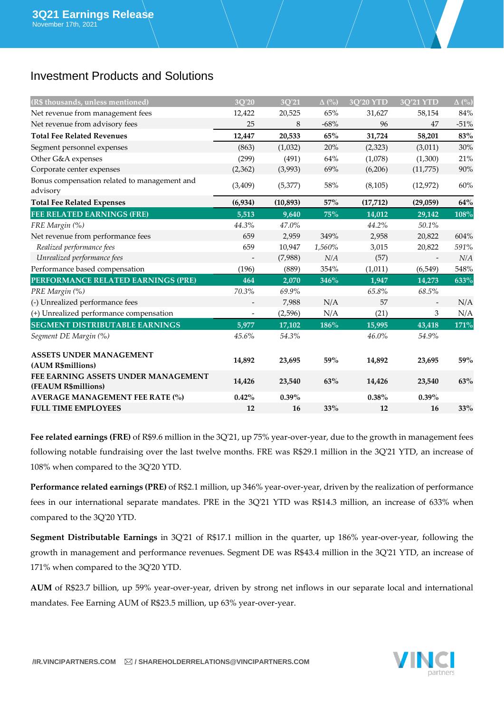### Investment Products and Solutions

| (R\$ thousands, unless mentioned)                          | 3Q'20                    | 3Q'21     | $\Delta$ (%) | 3Q'20 YTD | 3Q'21 YTD | $\Delta$ (%) |
|------------------------------------------------------------|--------------------------|-----------|--------------|-----------|-----------|--------------|
| Net revenue from management fees                           | 12,422                   | 20,525    | 65%          | 31,627    | 58,154    | 84%          |
| Net revenue from advisory fees                             | 25                       | 8         | $-68%$       | 96        | 47        | $-51%$       |
| <b>Total Fee Related Revenues</b>                          | 12,447                   | 20,533    | 65%          | 31,724    | 58,201    | 83%          |
| Segment personnel expenses                                 | (863)                    | (1,032)   | 20%          | (2,323)   | (3,011)   | 30%          |
| Other G&A expenses                                         | (299)                    | (491)     | 64%          | (1,078)   | (1,300)   | 21%          |
| Corporate center expenses                                  | (2,362)                  | (3,993)   | 69%          | (6,206)   | (11,775)  | 90%          |
| Bonus compensation related to management and<br>advisory   | (3,409)                  | (5,377)   | 58%          | (8,105)   | (12, 972) | 60%          |
| <b>Total Fee Related Expenses</b>                          | (6,934)                  | (10, 893) | 57%          | (17, 712) | (29,059)  | 64%          |
| <b>FEE RELATED EARNINGS (FRE)</b>                          | 5,513                    | 9,640     | 75%          | 14,012    | 29,142    | 108%         |
| FRE Margin (%)                                             | 44.3%                    | $47.0\%$  |              | 44.2%     | 50.1%     |              |
| Net revenue from performance fees                          | 659                      | 2,959     | 349%         | 2,958     | 20,822    | 604%         |
| Realized performance fees                                  | 659                      | 10,947    | 1,560%       | 3,015     | 20,822    | 591%         |
| Unrealized performance fees                                |                          | (7,988)   | N/A          | (57)      |           | N/A          |
| Performance based compensation                             | (196)                    | (889)     | 354%         | (1,011)   | (6, 549)  | 548%         |
| PERFORMANCE RELATED EARNINGS (PRE)                         | 464                      | 2,070     | 346%         | 1,947     | 14,273    | 633%         |
| PRE Margin (%)                                             | 70.3%                    | 69.9%     |              | 65.8%     | 68.5%     |              |
| (-) Unrealized performance fees                            |                          | 7,988     | N/A          | 57        |           | N/A          |
| (+) Unrealized performance compensation                    | $\overline{\phantom{a}}$ | (2, 596)  | N/A          | (21)      | 3         | N/A          |
| <b>SEGMENT DISTRIBUTABLE EARNINGS</b>                      | 5,977                    | 17,102    | 186%         | 15,995    | 43,418    | 171%         |
| Segment DE Margin (%)                                      | 45.6%                    | 54.3%     |              | $46.0\%$  | 54.9%     |              |
| <b>ASSETS UNDER MANAGEMENT</b><br>(AUM R\$millions)        | 14,892                   | 23,695    | 59%          | 14,892    | 23,695    | 59%          |
| FEE EARNING ASSETS UNDER MANAGEMENT<br>(FEAUM R\$millions) | 14,426                   | 23,540    | 63%          | 14,426    | 23,540    | 63%          |
| <b>AVERAGE MANAGEMENT FEE RATE (%)</b>                     | 0.42%                    | $0.39\%$  |              | $0.38\%$  | $0.39\%$  |              |
| <b>FULL TIME EMPLOYEES</b>                                 | 12                       | 16        | 33%          | 12        | 16        | 33%          |

**Fee related earnings (FRE)** of R\$9.6 million in the 3Q'21, up 75% year-over-year, due to the growth in management fees following notable fundraising over the last twelve months. FRE was R\$29.1 million in the 3Q'21 YTD, an increase of 108% when compared to the 3Q'20 YTD.

**Performance related earnings (PRE)** of R\$2.1 million, up 346% year-over-year, driven by the realization of performance fees in our international separate mandates. PRE in the 3Q'21 YTD was R\$14.3 million, an increase of 633% when compared to the 3Q'20 YTD.

**Segment Distributable Earnings** in 3Q'21 of R\$17.1 million in the quarter, up 186% year-over-year, following the growth in management and performance revenues. Segment DE was R\$43.4 million in the 3Q'21 YTD, an increase of 171% when compared to the 3Q'20 YTD.

**AUM** of R\$23.7 billion, up 59% year-over-year, driven by strong net inflows in our separate local and international mandates. Fee Earning AUM of R\$23.5 million, up 63% year-over-year.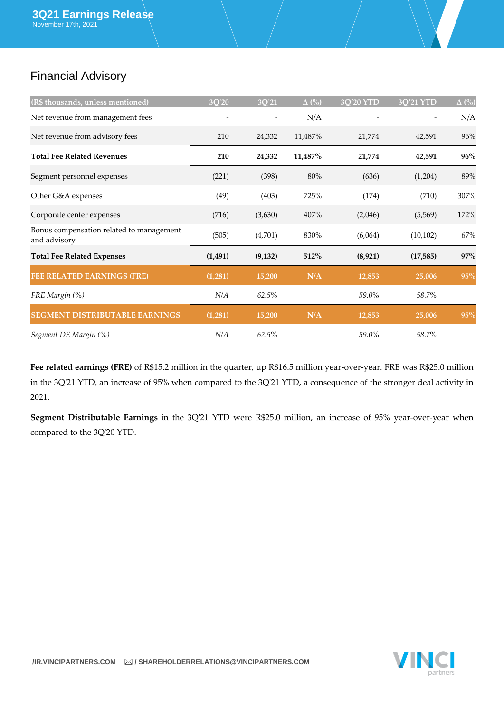# Financial Advisory

| (R\$ thousands, unless mentioned)                        | 3Q'20    | 3Q'21    | $\Delta$ (%) | 3Q'20 YTD | $\overline{3Q'21\,Y\Gamma D}$ | $\Delta$ (%) |
|----------------------------------------------------------|----------|----------|--------------|-----------|-------------------------------|--------------|
| Net revenue from management fees                         |          |          | N/A          |           |                               | N/A          |
| Net revenue from advisory fees                           | 210      | 24,332   | 11,487%      | 21,774    | 42,591                        | 96%          |
| <b>Total Fee Related Revenues</b>                        | 210      | 24,332   | 11,487%      | 21,774    | 42,591                        | 96%          |
| Segment personnel expenses                               | (221)    | (398)    | 80%          | (636)     | (1,204)                       | 89%          |
| Other G&A expenses                                       | (49)     | (403)    | 725%         | (174)     | (710)                         | 307%         |
| Corporate center expenses                                | (716)    | (3,630)  | 407%         | (2,046)   | (5,569)                       | 172%         |
| Bonus compensation related to management<br>and advisory | (505)    | (4,701)  | 830%         | (6,064)   | (10, 102)                     | 67%          |
| <b>Total Fee Related Expenses</b>                        | (1, 491) | (9, 132) | 512%         | (8,921)   | (17,585)                      | 97%          |
| <b>FEE RELATED EARNINGS (FRE)</b>                        | (1,281)  | 15,200   | N/A          | 12,853    | 25,006                        | 95%          |
| FRE Margin (%)                                           | N/A      | 62.5%    |              | 59.0%     | 58.7%                         |              |
| <b>SEGMENT DISTRIBUTABLE EARNINGS</b>                    | (1,281)  | 15,200   | N/A          | 12,853    | 25,006                        | 95%          |
| Segment DE Margin (%)                                    | N/A      | 62.5%    |              | 59.0%     | 58.7%                         |              |

**Fee related earnings (FRE)** of R\$15.2 million in the quarter, up R\$16.5 million year-over-year. FRE was R\$25.0 million in the 3Q'21 YTD, an increase of 95% when compared to the 3Q'21 YTD, a consequence of the stronger deal activity in 2021.

**Segment Distributable Earnings** in the 3Q'21 YTD were R\$25.0 million, an increase of 95% year-over-year when compared to the 3Q'20 YTD.

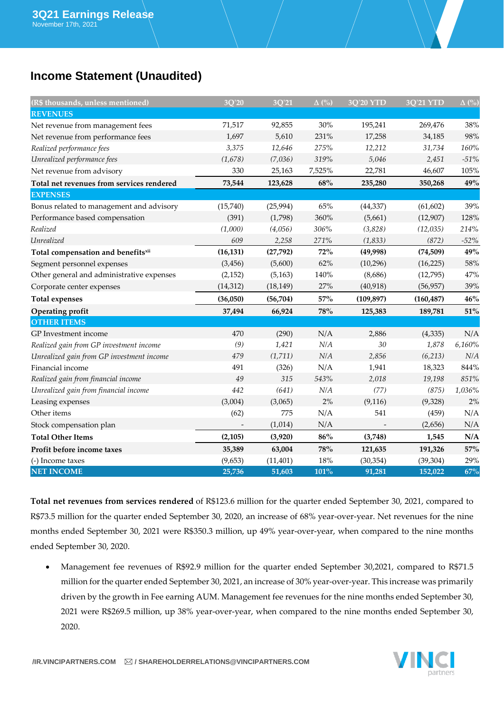## **Income Statement (Unaudited)**

| (R\$ thousands, unless mentioned)         | 3Q'20     | 3Q'21     | $\Delta$ (%) | 3Q'20 YTD  | <b>3Q'21 YTD</b> | $\Delta$ (%) |
|-------------------------------------------|-----------|-----------|--------------|------------|------------------|--------------|
| <b>REVENUES</b>                           |           |           |              |            |                  |              |
| Net revenue from management fees          | 71,517    | 92,855    | 30%          | 195,241    | 269,476          | 38%          |
| Net revenue from performance fees         | 1,697     | 5,610     | 231%         | 17,258     | 34,185           | 98%          |
| Realized performance fees                 | 3,375     | 12,646    | 275%         | 12,212     | 31,734           | 160%         |
| Unrealized performance fees               | (1,678)   | (7,036)   | 319%         | 5,046      | 2,451            | $-51\%$      |
| Net revenue from advisory                 | 330       | 25,163    | 7,525%       | 22,781     | 46,607           | 105%         |
| Total net revenues from services rendered | 73,544    | 123,628   | 68%          | 235,280    | 350,268          | $49\%$       |
| <b>EXPENSES</b>                           |           |           |              |            |                  |              |
| Bonus related to management and advisory  | (15,740)  | (25,994)  | 65%          | (44, 337)  | (61, 602)        | 39%          |
| Performance based compensation            | (391)     | (1,798)   | 360%         | (5,661)    | (12,907)         | 128%         |
| Realized                                  | (1,000)   | (4,056)   | 306%         | (3,828)    | (12, 035)        | 214%         |
| Unrealized                                | 609       | 2,258     | 271%         | (1, 833)   | (872)            | $-52%$       |
| Total compensation and benefitsxii        | (16, 131) | (27, 792) | 72%          | (49,998)   | (74, 509)        | 49%          |
| Segment personnel expenses                | (3, 456)  | (5,600)   | 62%          | (10, 296)  | (16, 225)        | 58%          |
| Other general and administrative expenses | (2, 152)  | (5, 163)  | 140%         | (8,686)    | (12,795)         | 47%          |
| Corporate center expenses                 | (14, 312) | (18, 149) | 27%          | (40, 918)  | (56, 957)        | 39%          |
| <b>Total expenses</b>                     | (36,050)  | (56, 704) | 57%          | (109, 897) | (160, 487)       | 46%          |
| <b>Operating profit</b>                   | 37,494    | 66,924    | 78%          | 125,383    | 189,781          | 51%          |
| <b>OTHER ITEMS</b>                        |           |           |              |            |                  |              |
| GP Investment income                      | 470       | (290)     | N/A          | 2,886      | (4, 335)         | N/A          |
| Realized gain from GP investment income   | (9)       | 1,421     | N/A          | $30\,$     | 1,878            | 6,160%       |
| Unrealized gain from GP investment income | 479       | (1,711)   | N/A          | 2,856      | (6,213)          | N/A          |
| Financial income                          | 491       | (326)     | N/A          | 1,941      | 18,323           | 844%         |
| Realized gain from financial income       | 49        | 315       | 543%         | 2,018      | 19,198           | $851\%$      |
| Unrealized gain from financial income     | 442       | (641)     | $N\!/\!A$    | (77)       | (875)            | 1,036%       |
| Leasing expenses                          | (3,004)   | (3,065)   | $2\%$        | (9, 116)   | (9,328)          | $2\%$        |
| Other items                               | (62)      | 775       | N/A          | 541        | (459)            | N/A          |
| Stock compensation plan                   |           | (1,014)   | N/A          |            | (2,656)          | N/A          |
| <b>Total Other Items</b>                  | (2, 105)  | (3,920)   | $86\%$       | (3,748)    | 1,545            | N/A          |
| Profit before income taxes                | 35,389    | 63,004    | $78\%$       | 121,635    | 191,326          | 57%          |
| (-) Income taxes                          | (9,653)   | (11, 401) | $18\%$       | (30, 354)  | (39, 304)        | 29%          |
| <b>NET INCOME</b>                         | 25,736    | 51,603    | 101%         | 91,281     | 152,022          | 67%          |

**Total net revenues from services rendered** of R\$123.6 million for the quarter ended September 30, 2021, compared to R\$73.5 million for the quarter ended September 30, 2020, an increase of 68% year-over-year. Net revenues for the nine months ended September 30, 2021 were R\$350.3 million, up 49% year-over-year, when compared to the nine months ended September 30, 2020.

• Management fee revenues of R\$92.9 million for the quarter ended September 30,2021, compared to R\$71.5 million for the quarter ended September 30, 2021, an increase of 30% year-over-year. This increase was primarily driven by the growth in Fee earning AUM. Management fee revenues for the nine months ended September 30, 2021 were R\$269.5 million, up 38% year-over-year, when compared to the nine months ended September 30, 2020.



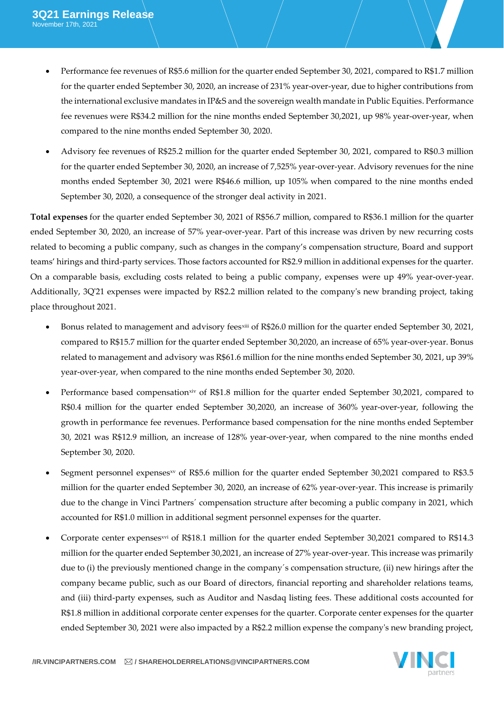- Performance fee revenues of R\$5.6 million for the quarter ended September 30, 2021, compared to R\$1.7 million for the quarter ended September 30, 2020, an increase of 231% year-over-year, due to higher contributions from the international exclusive mandates in IP&S and the sovereign wealth mandate in Public Equities. Performance fee revenues were R\$34.2 million for the nine months ended September 30,2021, up 98% year-over-year, when compared to the nine months ended September 30, 2020.
- Advisory fee revenues of R\$25.2 million for the quarter ended September 30, 2021, compared to R\$0.3 million for the quarter ended September 30, 2020, an increase of 7,525% year-over-year. Advisory revenues for the nine months ended September 30, 2021 were R\$46.6 million, up 105% when compared to the nine months ended September 30, 2020, a consequence of the stronger deal activity in 2021.

**Total expenses** for the quarter ended September 30, 2021 of R\$56.7 million, compared to R\$36.1 million for the quarter ended September 30, 2020, an increase of 57% year-over-year. Part of this increase was driven by new recurring costs related to becoming a public company, such as changes in the company's compensation structure, Board and support teams' hirings and third-party services. Those factors accounted for R\$2.9 million in additional expenses for the quarter. On a comparable basis, excluding costs related to being a public company, expenses were up 49% year-over-year. Additionally, 3Q'21 expenses were impacted by R\$2.2 million related to the company's new branding project, taking place throughout 2021.

- Bonus related to management and advisory feesxiii of R\$26.0 million for the quarter ended September 30, 2021, compared to R\$15.7 million for the quarter ended September 30,2020, an increase of 65% year-over-year. Bonus related to management and advisory was R\$61.6 million for the nine months ended September 30, 2021, up 39% year-over-year, when compared to the nine months ended September 30, 2020.
- Performance based compensationxiv of R\$1.8 million for the quarter ended September 30,2021, compared to R\$0.4 million for the quarter ended September 30,2020, an increase of 360% year-over-year, following the growth in performance fee revenues. Performance based compensation for the nine months ended September 30, 2021 was R\$12.9 million, an increase of 128% year-over-year, when compared to the nine months ended September 30, 2020.
- Segment personnel expensesxy of R\$5.6 million for the quarter ended September 30,2021 compared to R\$3.5 million for the quarter ended September 30, 2020, an increase of 62% year-over-year. This increase is primarily due to the change in Vinci Partners´ compensation structure after becoming a public company in 2021, which accounted for R\$1.0 million in additional segment personnel expenses for the quarter.
- Corporate center expensesxvi of R\$18.1 million for the quarter ended September 30,2021 compared to R\$14.3 million for the quarter ended September 30,2021, an increase of 27% year-over-year. This increase was primarily due to (i) the previously mentioned change in the company´s compensation structure, (ii) new hirings after the company became public, such as our Board of directors, financial reporting and shareholder relations teams, and (iii) third-party expenses, such as Auditor and Nasdaq listing fees. These additional costs accounted for R\$1.8 million in additional corporate center expenses for the quarter. Corporate center expenses for the quarter ended September 30, 2021 were also impacted by a R\$2.2 million expense the company's new branding project,

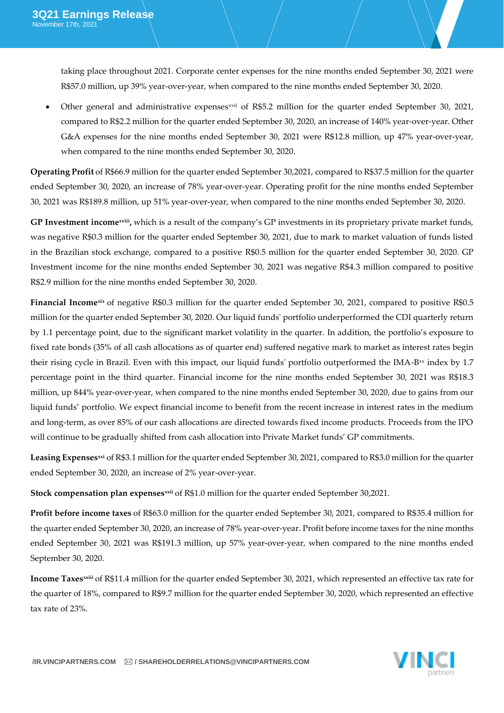taking place throughout 2021. Corporate center expenses for the nine months ended September 30, 2021 were R\$57.0 million, up 39% year-over-year, when compared to the nine months ended September 30, 2020.

Other general and administrative expenses *xvii* of R\$5.2 million for the quarter ended September 30, 2021, compared to R\$2.2 million for the quarter ended September 30, 2020, an increase of 140% year-over-year. Other G&A expenses for the nine months ended September 30, 2021 were R\$12.8 million, up 47% year-over-year, when compared to the nine months ended September 30, 2020.

**Operating Profit** of R\$66.9 million for the quarter ended September 30,2021, compared to R\$37.5 million for the quarter ended September 30, 2020, an increase of 78% year-over-year. Operating profit for the nine months ended September 30, 2021 was R\$189.8 million, up 51% year-over-year, when compared to the nine months ended September 30, 2020.

**GP Investment incomexviii ,** which is a result of the company's GP investments in its proprietary private market funds, was negative R\$0.3 million for the quarter ended September 30, 2021, due to mark to market valuation of funds listed in the Brazilian stock exchange, compared to a positive R\$0.5 million for the quarter ended September 30, 2020. GP Investment income for the nine months ended September 30, 2021 was negative R\$4.3 million compared to positive R\$2.9 million for the nine months ended September 30, 2020.

**Financial Income<sup>xix</sup>** of negative R\$0.3 million for the quarter ended September 30, 2021, compared to positive R\$0.5 million for the quarter ended September 30, 2020. Our liquid funds' portfolio underperformed the CDI quarterly return by 1.1 percentage point, due to the significant market volatility in the quarter. In addition, the portfolio's exposure to fixed rate bonds (35% of all cash allocations as of quarter end) suffered negative mark to market as interest rates begin their rising cycle in Brazil. Even with this impact, our liquid funds' portfolio outperformed the IMA-B $\infty$  index by 1.7 percentage point in the third quarter. Financial income for the nine months ended September 30, 2021 was R\$18.3 million, up 844% year-over-year, when compared to the nine months ended September 30, 2020, due to gains from our liquid funds' portfolio. We expect financial income to benefit from the recent increase in interest rates in the medium and long-term, as over 85% of our cash allocations are directed towards fixed income products. Proceeds from the IPO will continue to be gradually shifted from cash allocation into Private Market funds' GP commitments.

Leasing Expenses<sup>xi</sup> of R\$3.1 million for the quarter ended September 30, 2021, compared to R\$3.0 million for the quarter ended September 30, 2020, an increase of 2% year-over-year.

**Stock compensation plan expensesxxii** of R\$1.0 million for the quarter ended September 30,2021.

**Profit before income taxes** of R\$63.0 million for the quarter ended September 30, 2021, compared to R\$35.4 million for the quarter ended September 30, 2020, an increase of 78% year-over-year. Profit before income taxes for the nine months ended September 30, 2021 was R\$191.3 million, up 57% year-over-year, when compared to the nine months ended September 30, 2020.

**Income Taxesxxiii** of R\$11.4 million for the quarter ended September 30, 2021, which represented an effective tax rate for the quarter of 18%, compared to R\$9.7 million for the quarter ended September 30, 2020, which represented an effective tax rate of 23%.

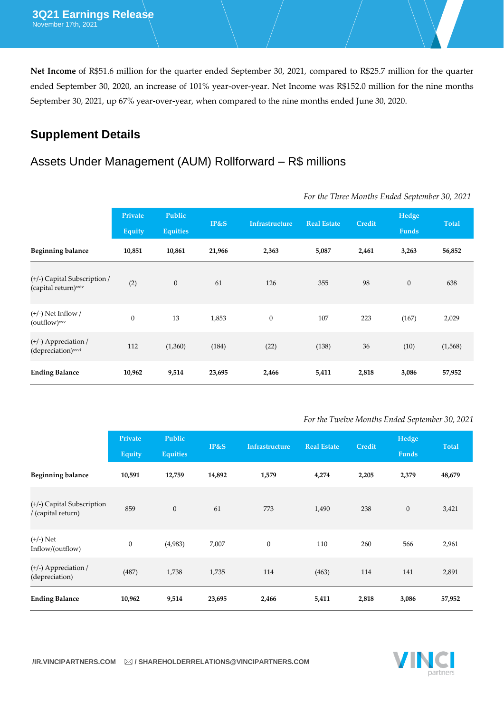**Net Income** of R\$51.6 million for the quarter ended September 30, 2021, compared to R\$25.7 million for the quarter ended September 30, 2020, an increase of 101% year-over-year. Net Income was R\$152.0 million for the nine months September 30, 2021, up 67% year-over-year, when compared to the nine months ended June 30, 2020.

## **Supplement Details**

### Assets Under Management (AUM) Rollforward – R\$ millions

|                                                                  | Private<br><b>Equity</b> | Public<br><b>Equities</b> | IP&S   | <b>Infrastructure</b> | <b>Real Estate</b> | Credit | Hedge<br><b>Funds</b> | <b>Total</b> |
|------------------------------------------------------------------|--------------------------|---------------------------|--------|-----------------------|--------------------|--------|-----------------------|--------------|
| <b>Beginning balance</b>                                         | 10,851                   | 10,861                    | 21,966 | 2,363                 | 5,087              | 2,461  | 3,263                 | 56,852       |
| (+/-) Capital Subscription /<br>(capital return) <sup>xxiv</sup> | (2)                      | $\boldsymbol{0}$          | 61     | 126                   | 355                | 98     | $\boldsymbol{0}$      | 638          |
| $(+/-)$ Net Inflow /<br>$(outflow)$ <sup>xxv</sup>               | $\mathbf{0}$             | 13                        | 1,853  | $\boldsymbol{0}$      | 107                | 223    | (167)                 | 2,029        |
| (+/-) Appreciation /<br>(depreciation) <sup>xxvi</sup>           | 112                      | (1,360)                   | (184)  | (22)                  | (138)              | 36     | (10)                  | (1,568)      |
| <b>Ending Balance</b>                                            | 10,962                   | 9,514                     | 23,695 | 2,466                 | 5,411              | 2,818  | 3,086                 | 57,952       |

*For the Three Months Ended September 30, 2021*

### *For the Twelve Months Ended September 30, 2021*

|                                                  | Private<br><b>Equity</b> | Public<br><b>Equities</b> | IP&S   | <b>Infrastructure</b> | <b>Real Estate</b> | Credit | Hedge<br>Funds | <b>Total</b> |
|--------------------------------------------------|--------------------------|---------------------------|--------|-----------------------|--------------------|--------|----------------|--------------|
| <b>Beginning balance</b>                         | 10,591                   | 12,759                    | 14,892 | 1,579                 | 4,274              | 2,205  | 2,379          | 48,679       |
| (+/-) Capital Subscription<br>/ (capital return) | 859                      | $\boldsymbol{0}$          | 61     | 773                   | 1,490              | 238    | $\mathbf{0}$   | 3,421        |
| $(+/-)$ Net<br>Inflow/(outflow)                  | $\mathbf{0}$             | (4,983)                   | 7,007  | $\boldsymbol{0}$      | 110                | 260    | 566            | 2,961        |
| (+/-) Appreciation /<br>(depreciation)           | (487)                    | 1,738                     | 1,735  | 114                   | (463)              | 114    | 141            | 2,891        |
| <b>Ending Balance</b>                            | 10,962                   | 9,514                     | 23,695 | 2,466                 | 5,411              | 2,818  | 3,086          | 57,952       |

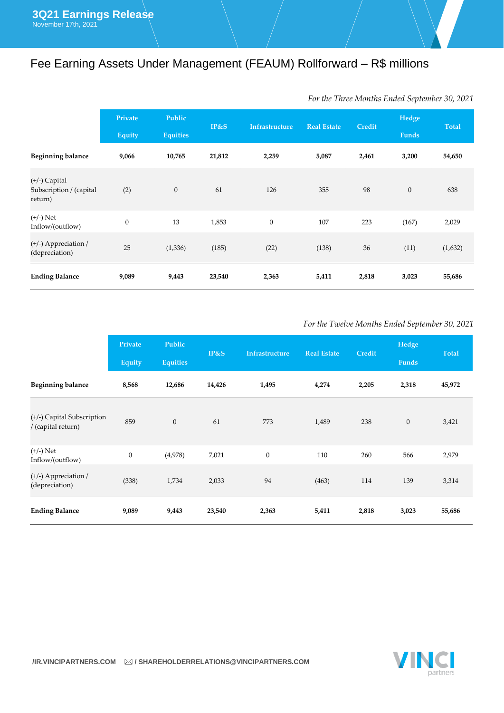# Fee Earning Assets Under Management (FEAUM) Rollforward – R\$ millions

|                                                     | Private<br><b>Equity</b> | Public<br><b>Equities</b> | IP&S   | <b>Infrastructure</b> | <b>Real Estate</b> | <b>Credit</b> | Hedge<br><b>Funds</b> | <b>Total</b> |
|-----------------------------------------------------|--------------------------|---------------------------|--------|-----------------------|--------------------|---------------|-----------------------|--------------|
| <b>Beginning balance</b>                            | 9,066                    | 10,765                    | 21,812 | 2,259                 | 5,087              | 2,461         | 3,200                 | 54,650       |
| (+/-) Capital<br>Subscription / (capital<br>return) | (2)                      | $\boldsymbol{0}$          | 61     | 126                   | 355                | 98            | $\boldsymbol{0}$      | 638          |
| $(+/-)$ Net<br>Inflow/(outflow)                     | $\boldsymbol{0}$         | 13                        | 1,853  | $\boldsymbol{0}$      | 107                | 223           | (167)                 | 2,029        |
| $(+/-)$ Appreciation /<br>(depreciation)            | 25                       | (1, 336)                  | (185)  | (22)                  | (138)              | 36            | (11)                  | (1,632)      |
| <b>Ending Balance</b>                               | 9,089                    | 9,443                     | 23,540 | 2,363                 | 5,411              | 2,818         | 3,023                 | 55,686       |

### *For the Three Months Ended September 30, 2021*

### *For the Twelve Months Ended September 30, 2021*

|                                                  | Private<br><b>Equity</b> | Public<br><b>Equities</b> | IP&S   | <b>Infrastructure</b> | <b>Real Estate</b> | <b>Credit</b> | Hedge<br>Funds   | <b>Total</b> |
|--------------------------------------------------|--------------------------|---------------------------|--------|-----------------------|--------------------|---------------|------------------|--------------|
| <b>Beginning balance</b>                         | 8,568                    | 12,686                    | 14,426 | 1,495                 | 4,274              | 2,205         | 2,318            | 45,972       |
| (+/-) Capital Subscription<br>/ (capital return) | 859                      | $\boldsymbol{0}$          | 61     | 773                   | 1,489              | 238           | $\boldsymbol{0}$ | 3,421        |
| $(+/-)$ Net<br>Inflow/(outflow)                  | $\boldsymbol{0}$         | (4,978)                   | 7,021  | $\mathbf{0}$          | 110                | 260           | 566              | 2,979        |
| (+/-) Appreciation /<br>(depreciation)           | (338)                    | 1,734                     | 2,033  | 94                    | (463)              | 114           | 139              | 3,314        |
| <b>Ending Balance</b>                            | 9,089                    | 9,443                     | 23,540 | 2,363                 | 5,411              | 2,818         | 3,023            | 55,686       |

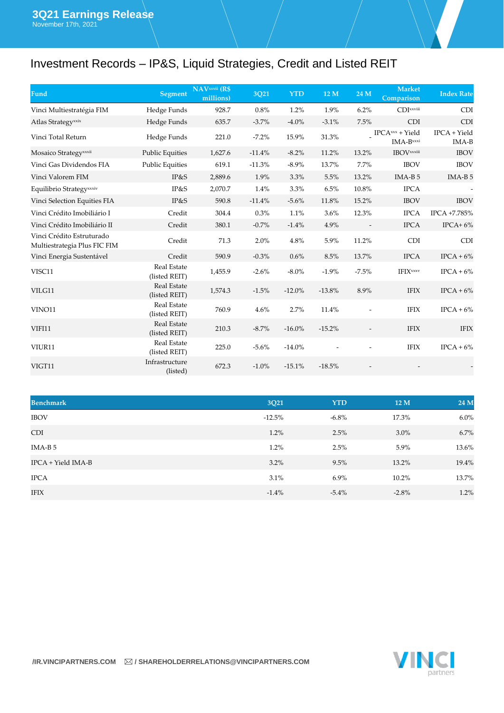# Investment Records – IP&S, Liquid Strategies, Credit and Listed REIT

| Fund                                                      | Segment                             | <b>NAVxxvii</b> (R\$<br>millions) | 3Q21     | <b>YTD</b> | 12 M     | 24 M                     | <b>Market</b><br>Comparison                | <b>Index Rate</b>       |
|-----------------------------------------------------------|-------------------------------------|-----------------------------------|----------|------------|----------|--------------------------|--------------------------------------------|-------------------------|
| Vinci Multiestratégia FIM                                 | Hedge Funds                         | 928.7                             | 0.8%     | 1.2%       | 1.9%     | 6.2%                     | CDIxxviii                                  | <b>CDI</b>              |
| Atlas Strategy <sup>xxix</sup>                            | Hedge Funds                         | 635.7                             | $-3.7%$  | $-4.0%$    | $-3.1%$  | 7.5%                     | <b>CDI</b>                                 | <b>CDI</b>              |
| Vinci Total Return                                        | Hedge Funds                         | 221.0                             | $-7.2\%$ | 15.9%      | 31.3%    |                          | $IPCA$ <sup>xxx</sup> + Yield<br>IMA-Bxxxi | $IPCA + Yield$<br>IMA-B |
| Mosaico Strategy <sup>xxxii</sup>                         | <b>Public Equities</b>              | 1,627.6                           | $-11.4%$ | $-8.2\%$   | 11.2%    | 13.2%                    | <b>IBOV</b> xxiii                          | <b>IBOV</b>             |
| Vinci Gas Dividendos FIA                                  | <b>Public Equities</b>              | 619.1                             | $-11.3%$ | $-8.9\%$   | 13.7%    | 7.7%                     | <b>IBOV</b>                                | <b>IBOV</b>             |
| Vinci Valorem FIM                                         | IP&S                                | 2,889.6                           | 1.9%     | 3.3%       | 5.5%     | 13.2%                    | $IMA-B5$                                   | IMA-B <sub>5</sub>      |
| Equilibrio Strategyxxxiv                                  | IP&S                                | 2,070.7                           | 1.4%     | 3.3%       | 6.5%     | 10.8%                    | <b>IPCA</b>                                |                         |
| Vinci Selection Equities FIA                              | IP&S                                | 590.8                             | $-11.4%$ | $-5.6%$    | 11.8%    | 15.2%                    | <b>IBOV</b>                                | <b>IBOV</b>             |
| Vinci Crédito Imobiliário I                               | Credit                              | 304.4                             | 0.3%     | 1.1%       | 3.6%     | 12.3%                    | <b>IPCA</b>                                | IPCA +7.785%            |
| Vinci Crédito Imobiliário II                              | Credit                              | 380.1                             | $-0.7%$  | $-1.4%$    | 4.9%     | $\overline{\phantom{a}}$ | <b>IPCA</b>                                | IPCA+ $6\%$             |
| Vinci Crédito Estruturado<br>Multiestrategia Plus FIC FIM | Credit                              | 71.3                              | 2.0%     | 4.8%       | 5.9%     | 11.2%                    | <b>CDI</b>                                 | <b>CDI</b>              |
| Vinci Energia Sustentável                                 | Credit                              | 590.9                             | $-0.3%$  | 0.6%       | 8.5%     | 13.7%                    | <b>IPCA</b>                                | $IPCA + 6%$             |
| VISC11                                                    | <b>Real Estate</b><br>(listed REIT) | 1,455.9                           | $-2.6%$  | $-8.0\%$   | $-1.9%$  | $-7.5%$                  | <b>IFIX</b> xxxv                           | $IPCA + 6\%$            |
| VILG11                                                    | Real Estate<br>(listed REIT)        | 1,574.3                           | $-1.5%$  | $-12.0\%$  | $-13.8%$ | 8.9%                     | <b>IFIX</b>                                | $IPCA + 6\%$            |
| VINO11                                                    | <b>Real Estate</b><br>(listed REIT) | 760.9                             | 4.6%     | 2.7%       | 11.4%    |                          | <b>IFIX</b>                                | $IPCA + 6%$             |
| <b>VIFI11</b>                                             | <b>Real Estate</b><br>(listed REIT) | 210.3                             | $-8.7\%$ | $-16.0\%$  | $-15.2%$ | $\overline{\phantom{a}}$ | <b>IFIX</b>                                | <b>IFIX</b>             |
| VIUR11                                                    | Real Estate<br>(listed REIT)        | 225.0                             | $-5.6%$  | $-14.0\%$  |          |                          | <b>IFIX</b>                                | $IPCA + 6%$             |
| VIGT11                                                    | Infrastructure<br>(listed)          | 672.3                             | $-1.0%$  | $-15.1%$   | $-18.5%$ |                          |                                            |                         |

| <b>Benchmark</b>   | 3Q21     | <b>YTD</b> | 12 M    | 24 M    |
|--------------------|----------|------------|---------|---------|
| <b>IBOV</b>        | $-12.5%$ | $-6.8\%$   | 17.3%   | $6.0\%$ |
| <b>CDI</b>         | 1.2%     | 2.5%       | $3.0\%$ | 6.7%    |
| IMA-B 5            | 1.2%     | 2.5%       | 5.9%    | 13.6%   |
| IPCA + Yield IMA-B | $3.2\%$  | 9.5%       | 13.2%   | 19.4%   |
| <b>IPCA</b>        | 3.1%     | $6.9\%$    | 10.2%   | 13.7%   |
| <b>IFIX</b>        | $-1.4%$  | $-5.4\%$   | $-2.8%$ | 1.2%    |

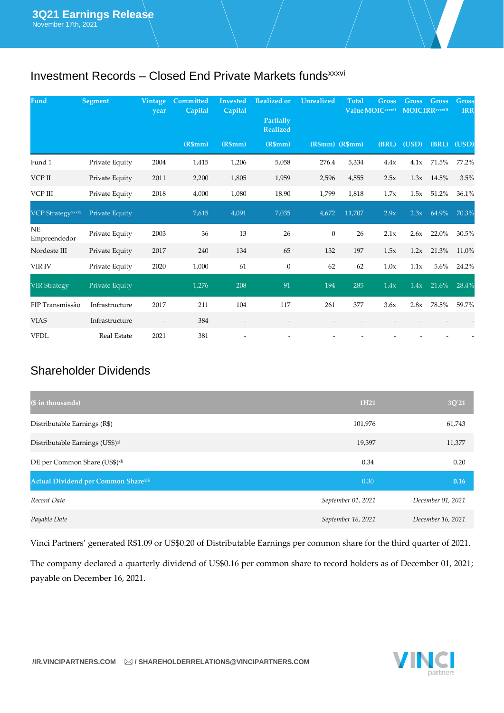# Investment Records - Closed End Private Markets funds<sup>xxxvi</sup>

| Fund                      | <b>Segment</b>     | Vintage<br>year          | Committed<br>Capital | <b>Invested</b><br>Capital | <b>Realized or</b>           | <b>Unrealized</b> | <b>Total</b> | <b>Gross</b><br>Value MOICxxxvii | <b>Gross</b><br><b>MOICIRR</b> xxviii | <b>Gross</b>   | <b>Gross</b><br><b>IRR</b> |
|---------------------------|--------------------|--------------------------|----------------------|----------------------------|------------------------------|-------------------|--------------|----------------------------------|---------------------------------------|----------------|----------------------------|
|                           |                    |                          |                      |                            | Partially<br><b>Realized</b> |                   |              |                                  |                                       |                |                            |
|                           |                    |                          | (R\$mm)              | (R5mm)                     | (R\$mm)                      | $(R$mm)$ $(R$mm)$ |              | (BRL)                            | (USD)                                 |                | (BRL) (USD)                |
| Fund 1                    | Private Equity     | 2004                     | 1,415                | 1,206                      | 5,058                        | 276.4             | 5,334        | 4.4x                             | 4.1x                                  | 71.5%          | 77.2%                      |
| VCP II                    | Private Equity     | 2011                     | 2,200                | 1,805                      | 1,959                        | 2,596             | 4,555        | 2.5x                             |                                       | $1.3x$ $14.5%$ | 3.5%                       |
| VCP III                   | Private Equity     | 2018                     | 4,000                | 1,080                      | 18.90                        | 1,799             | 1,818        | 1.7x                             | 1.5x                                  | 51.2%          | 36.1%                      |
| <b>VCP Strategyxxxix</b>  | Private Equity     |                          | 7,615                | 4,091                      | 7,035                        | 4,672             | 11,707       | 2.9x                             | 2.3x                                  | 64.9%          | 70.3%                      |
| <b>NE</b><br>Empreendedor | Private Equity     | 2003                     | 36                   | 13                         | 26                           | $\mathbf{0}$      | 26           | 2.1x                             | 2.6x                                  | 22.0%          | 30.5%                      |
| Nordeste III              | Private Equity     | 2017                     | 240                  | 134                        | 65                           | 132               | 197          | 1.5x                             | 1.2x                                  | 21.3%          | 11.0%                      |
| VIR IV                    | Private Equity     | 2020                     | 1,000                | 61                         | $\boldsymbol{0}$             | 62                | 62           | 1.0x                             | 1.1x                                  | $5.6\%$        | 24.2%                      |
| <b>VIR Strategy</b>       | Private Equity     |                          | 1,276                | 208                        | 91                           | 194               | 285          | 1.4x                             | 1.4x                                  | 21.6%          | 28.4%                      |
| FIP Transmissão           | Infrastructure     | 2017                     | 211                  | 104                        | 117                          | 261               | 377          | 3.6x                             | 2.8x                                  | 78.5%          | 59.7%                      |
| <b>VIAS</b>               | Infrastructure     | $\overline{\phantom{a}}$ | 384                  | $\overline{\phantom{a}}$   | $\overline{\phantom{a}}$     |                   |              |                                  |                                       |                |                            |
| <b>VFDL</b>               | <b>Real Estate</b> | 2021                     | 381                  |                            |                              |                   |              |                                  |                                       |                |                            |

### Shareholder Dividends

| (\$ in thousands)                           | 1H <sub>21</sub>   | 3Q'21             |
|---------------------------------------------|--------------------|-------------------|
| Distributable Earnings (R\$)                | 101,976            | 61,743            |
| Distributable Earnings (US\$) <sup>x1</sup> | 19,397             | 11,377            |
| DE per Common Share (US\$) <sup>xli</sup>   | 0.34               | 0.20              |
| Actual Dividend per Common Sharexlii        | 0.30               | 0.16              |
| Record Date                                 | September 01, 2021 | December 01, 2021 |
| Payable Date                                | September 16, 2021 | December 16, 2021 |

Vinci Partners' generated R\$1.09 or US\$0.20 of Distributable Earnings per common share for the third quarter of 2021.

The company declared a quarterly dividend of US\$0.16 per common share to record holders as of December 01, 2021; payable on December 16, 2021.

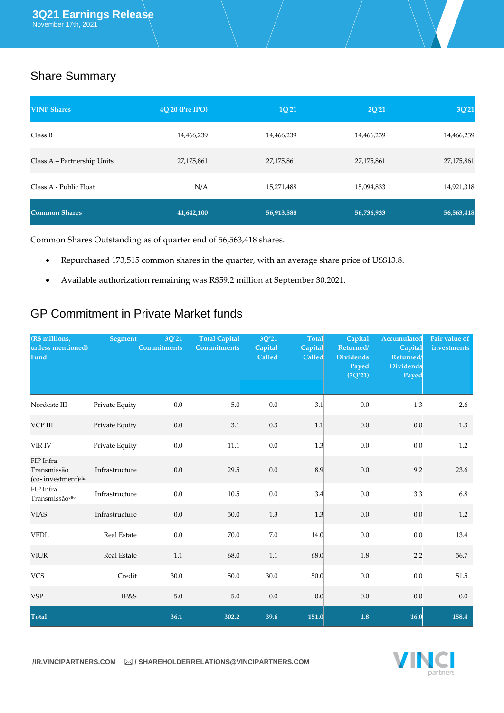# Share Summary

| <b>VINP Shares</b>          | 4Q'20 (Pre IPO) | 1Q'21      | 2Q'21      | 3Q'21      |
|-----------------------------|-----------------|------------|------------|------------|
| Class B                     | 14,466,239      | 14,466,239 | 14,466,239 | 14,466,239 |
| Class A - Partnership Units | 27,175,861      | 27,175,861 | 27,175,861 | 27,175,861 |
| Class A - Public Float      | N/A             | 15,271,488 | 15,094,833 | 14,921,318 |
| <b>Common Shares</b>        | 41,642,100      | 56,913,588 | 56,736,933 | 56,563,418 |

Common Shares Outstanding as of quarter end of 56,563,418 shares.

- Repurchased 173,515 common shares in the quarter, with an average share price of US\$13.8.
- Available authorization remaining was R\$59.2 million at September 30,2021.

### GP Commitment in Private Market funds

| (R\$ millions,<br>unless mentioned)<br>Fund                  | <b>Segment</b> | 3Q'21<br><b>Commitments</b> | <b>Total Capital</b><br><b>Commitments</b> | 3Q'21<br>Capital<br>Called | <b>Total</b><br>Capital<br>Called | Capital<br>Returned/<br><b>Dividends</b><br>Payed<br>(3Q'21) | Accumulated<br>Capital<br>Returned/<br><b>Dividends</b><br>Payed | <b>Fair value of</b><br>investments |
|--------------------------------------------------------------|----------------|-----------------------------|--------------------------------------------|----------------------------|-----------------------------------|--------------------------------------------------------------|------------------------------------------------------------------|-------------------------------------|
| Nordeste III                                                 | Private Equity | 0.0                         | 5.0                                        | $0.0\,$                    | 3.1                               | 0.0                                                          | 1.3                                                              | 2.6                                 |
| VCP III                                                      | Private Equity | 0.0                         | 3.1                                        | 0.3                        | 1.1                               | 0.0                                                          | 0.0                                                              | 1.3                                 |
| VIR IV                                                       | Private Equity | 0.0                         | 11.1                                       | $0.0\,$                    | 1.3                               | 0.0                                                          | 0.0                                                              | 1.2                                 |
| FIP Infra<br>Transmissão<br>(co-investment) <sup>xliii</sup> | Infrastructure | 0.0                         | 29.5                                       | 0.0                        | 8.9                               | 0.0                                                          | 9.2                                                              | 23.6                                |
| FIP Infra<br>Transmissãoxliv                                 | Infrastructure | 0.0                         | 10.5                                       | $0.0\,$                    | 3.4                               | 0.0                                                          | 3.3                                                              | 6.8                                 |
| <b>VIAS</b>                                                  | Infrastructure | 0.0                         | 50.0                                       | 1.3                        | 1.3                               | 0.0                                                          | 0.0                                                              | 1.2                                 |
| <b>VFDL</b>                                                  | Real Estate    | 0.0                         | 70.0                                       | $7.0\,$                    | 14.0                              | 0.0                                                          | 0.0                                                              | 13.4                                |
| <b>VIUR</b>                                                  | Real Estate    | $1.1\,$                     | 68.0                                       | 1.1                        | 68.0                              | 1.8                                                          | 2.2                                                              | 56.7                                |
| <b>VCS</b>                                                   | Credit         | 30.0                        | 50.0                                       | 30.0                       | 50.0                              | 0.0                                                          | 0.0                                                              | 51.5                                |
| <b>VSP</b>                                                   | IP&S           | 5.0                         | 5.0                                        | 0.0                        | 0.0                               | 0.0                                                          | 0.0                                                              | 0.0                                 |
| <b>Total</b>                                                 |                | 36.1                        | 302.2                                      | 39.6                       | 151.0                             | $1.8\,$                                                      | 16.0                                                             | 158.4                               |



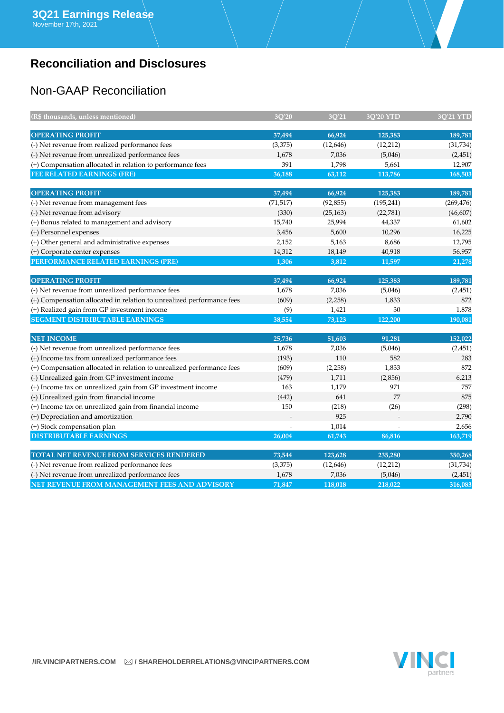# **Reconciliation and Disclosures**

# Non-GAAP Reconciliation

| (R\$ thousands, unless mentioned)                                                                              | 3O'20            | 3O'21              | 3O'20 YTD        | <b>3O'21 YTD</b>   |
|----------------------------------------------------------------------------------------------------------------|------------------|--------------------|------------------|--------------------|
| <b>OPERATING PROFIT</b>                                                                                        | 37,494           | 66,924             |                  | 189,781            |
| (-) Net revenue from realized performance fees                                                                 |                  |                    | 125,383          |                    |
|                                                                                                                | (3,375)<br>1,678 | (12, 646)<br>7,036 | (12, 212)        | (31, 734)          |
| (-) Net revenue from unrealized performance fees<br>(+) Compensation allocated in relation to performance fees | 391              | 1,798              | (5,046)<br>5,661 | (2, 451)<br>12,907 |
| FEE RELATED EARNINGS (FRE)                                                                                     | 36,188           | 63,112             | 113,786          | 168,503            |
|                                                                                                                |                  |                    |                  |                    |
| <b>OPERATING PROFIT</b>                                                                                        | 37,494           | 66,924             | 125,383          | 189,781            |
| (-) Net revenue from management fees                                                                           | (71, 517)        | (92, 855)          | (195, 241)       | (269, 476)         |
| (-) Net revenue from advisory                                                                                  | (330)            | (25, 163)          | (22,781)         | (46, 607)          |
| (+) Bonus related to management and advisory                                                                   | 15,740           | 25,994             | 44,337           | 61,602             |
| (+) Personnel expenses                                                                                         | 3,456            | 5,600              | 10,296           | 16,225             |
| (+) Other general and administrative expenses                                                                  | 2,152            | 5,163              | 8,686            | 12,795             |
| (+) Corporate center expenses                                                                                  | 14,312           | 18,149             | 40,918           | 56,957             |
| PERFORMANCE RELATED EARNINGS (PRE)                                                                             | 1,306            | 3,812              | 11,597           | 21,278             |
| <b>OPERATING PROFIT</b>                                                                                        | 37,494           | 66,924             | 125,383          | 189,781            |
| (-) Net revenue from unrealized performance fees                                                               | 1,678            | 7,036              | (5,046)          | (2, 451)           |
| (+) Compensation allocated in relation to unrealized performance fees                                          | (609)            | (2,258)            | 1,833            | 872                |
| (+) Realized gain from GP investment income                                                                    | (9)              | 1,421              | 30               | 1,878              |
| <b>SEGMENT DISTRIBUTABLE EARNINGS</b>                                                                          | 38,554           | 73,123             | 122,200          | 190,081            |
|                                                                                                                |                  |                    |                  |                    |
| <b>NET INCOME</b>                                                                                              | 25,736           | 51,603             | 91,281           | 152,022            |
| (-) Net revenue from unrealized performance fees                                                               | 1,678            | 7,036              | (5,046)          | (2, 451)           |
| (+) Income tax from unrealized performance fees                                                                | (193)            | 110                | 582              | 283                |
| (+) Compensation allocated in relation to unrealized performance fees                                          | (609)            | (2,258)            | 1,833            | 872                |
| (-) Unrealized gain from GP investment income                                                                  | (479)            | 1,711              | (2,856)          | 6,213              |
| (+) Income tax on unrealized gain from GP investment income                                                    | 163              | 1,179              | 971              | 757                |
| (-) Unrealized gain from financial income                                                                      | (442)            | 641                | 77               | 875                |
| (+) Income tax on unrealized gain from financial income                                                        | 150              | (218)              | (26)             | (298)              |
| (+) Depreciation and amortization                                                                              |                  | 925                |                  | 2,790              |
| (+) Stock compensation plan                                                                                    |                  | 1,014              |                  | 2,656              |
| <b>DISTRIBUTABLE EARNINGS</b>                                                                                  | 26,004           | 61,743             | 86,816           | 163,719            |
| TOTAL NET REVENUE FROM SERVICES RENDERED                                                                       | 73,544           | 123,628            | 235,280          | 350,268            |
| (-) Net revenue from realized performance fees                                                                 | (3,375)          | (12,646)           | (12,212)         | (31, 734)          |
| (-) Net revenue from unrealized performance fees                                                               | 1,678            | 7,036              | (5,046)          | (2, 451)           |
| NET REVENUE FROM MANAGEMENT FEES AND ADVISORY                                                                  | 71,847           | 118,018            | 218,022          | 316,083            |

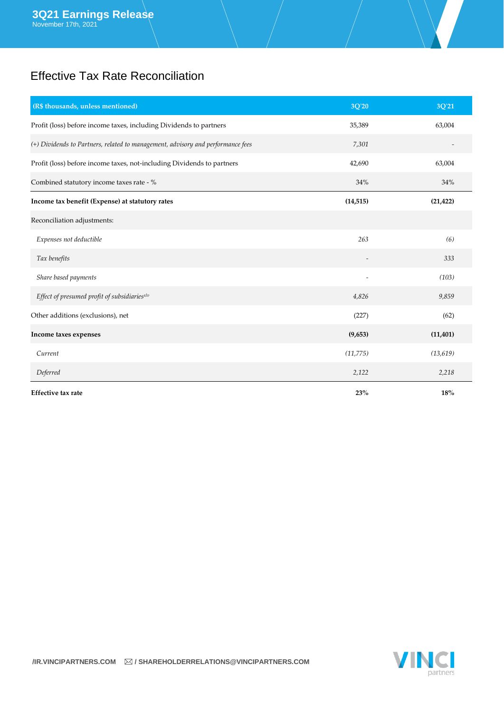### Effective Tax Rate Reconciliation

| (R\$ thousands, unless mentioned)                                               | 3Q'20     | 3Q'21     |
|---------------------------------------------------------------------------------|-----------|-----------|
| Profit (loss) before income taxes, including Dividends to partners              | 35,389    | 63,004    |
| (+) Dividends to Partners, related to management, advisory and performance fees | 7,301     |           |
| Profit (loss) before income taxes, not-including Dividends to partners          | 42,690    | 63,004    |
| Combined statutory income taxes rate - %                                        | 34%       | 34%       |
| Income tax benefit (Expense) at statutory rates                                 | (14, 515) | (21, 422) |
| Reconciliation adjustments:                                                     |           |           |
| Expenses not deductible                                                         | 263       | (6)       |
| Tax benefits                                                                    |           | 333       |
| Share based payments                                                            |           | (103)     |
| Effect of presumed profit of subsidiariesxlv                                    | 4,826     | 9,859     |
| Other additions (exclusions), net                                               | (227)     | (62)      |
| Income taxes expenses                                                           | (9,653)   | (11, 401) |
| Current                                                                         | (11, 775) | (13,619)  |
| Deferred                                                                        | 2,122     | 2,218     |
| <b>Effective tax rate</b>                                                       | 23%       | 18%       |

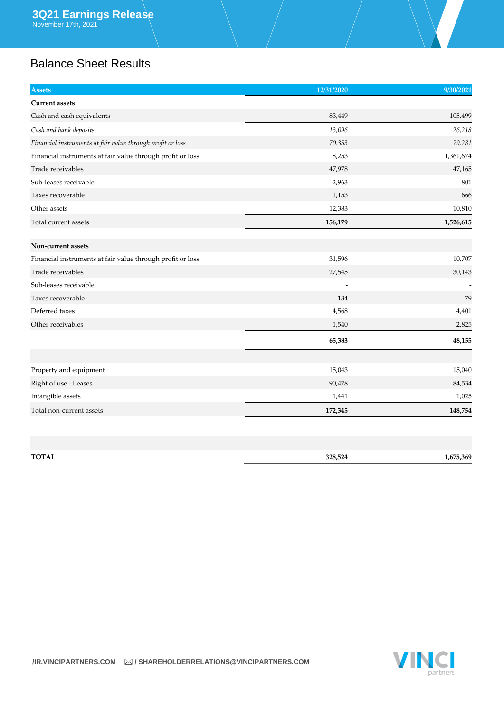# Balance Sheet Results

| <b>Assets</b>                                              | 12/31/2020 | 9/30/2021 |
|------------------------------------------------------------|------------|-----------|
| <b>Current assets</b>                                      |            |           |
| Cash and cash equivalents                                  | 83,449     | 105,499   |
| Cash and bank deposits                                     | 13,096     | 26,218    |
| Financial instruments at fair value through profit or loss | 70,353     | 79,281    |
| Financial instruments at fair value through profit or loss | 8,253      | 1,361,674 |
| Trade receivables                                          | 47,978     | 47,165    |
| Sub-leases receivable                                      | 2,963      | 801       |
| Taxes recoverable                                          | 1,153      | 666       |
| Other assets                                               | 12,383     | 10,810    |
| Total current assets                                       | 156,179    | 1,526,615 |
|                                                            |            |           |
| Non-current assets                                         |            |           |
| Financial instruments at fair value through profit or loss | 31,596     | 10,707    |
| Trade receivables                                          | 27,545     | 30,143    |
| Sub-leases receivable                                      |            |           |
| Taxes recoverable                                          | 134        | 79        |
| Deferred taxes                                             | 4,568      | 4,401     |
| Other receivables                                          | 1,540      | 2,825     |
|                                                            | 65,383     | 48,155    |
|                                                            |            |           |
| Property and equipment                                     | 15,043     | 15,040    |
| Right of use - Leases                                      | 90,478     | 84,534    |
| Intangible assets                                          | 1,441      | 1,025     |
| Total non-current assets                                   | 172,345    | 148,754   |

| TOTAL | 328,524 | .,675,369 |
|-------|---------|-----------|

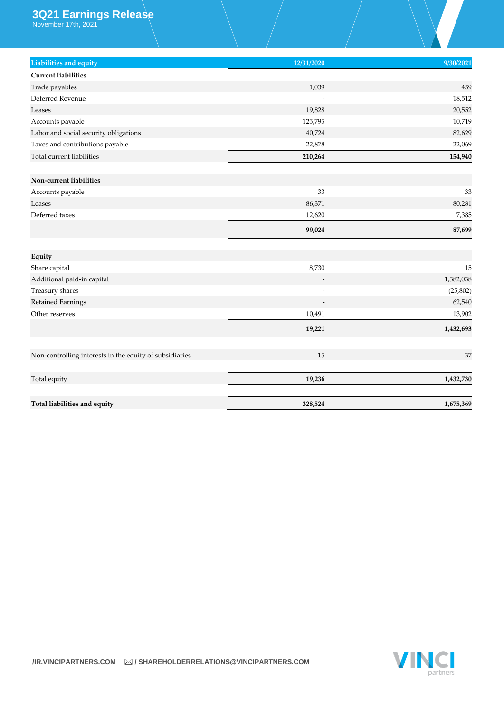### **3Q21 Earnings Release**

November 17th, 2021

| Liabilities and equity                                  | 12/31/2020 | 9/30/2021 |
|---------------------------------------------------------|------------|-----------|
| <b>Current liabilities</b>                              |            |           |
| Trade payables                                          | 1,039      | 459       |
| Deferred Revenue                                        |            | 18,512    |
| Leases                                                  | 19,828     | 20,552    |
| Accounts payable                                        | 125,795    | 10,719    |
| Labor and social security obligations                   | 40,724     | 82,629    |
| Taxes and contributions payable                         | 22,878     | 22,069    |
| Total current liabilities                               | 210,264    | 154,940   |
| Non-current liabilities                                 |            |           |
| Accounts payable                                        | 33         | 33        |
| Leases                                                  | 86,371     | 80,281    |
| Deferred taxes                                          | 12,620     | 7,385     |
|                                                         | 99,024     | 87,699    |
|                                                         |            |           |
| Equity                                                  |            |           |
| Share capital                                           | 8,730      | 15        |
| Additional paid-in capital                              |            | 1,382,038 |
| Treasury shares                                         |            | (25, 802) |
| Retained Earnings                                       |            | 62,540    |
| Other reserves                                          | 10,491     | 13,902    |
|                                                         | 19,221     | 1,432,693 |
| Non-controlling interests in the equity of subsidiaries | 15         | 37        |
|                                                         |            |           |
| Total equity                                            | 19,236     | 1,432,730 |
| Total liabilities and equity                            | 328,524    | 1,675,369 |

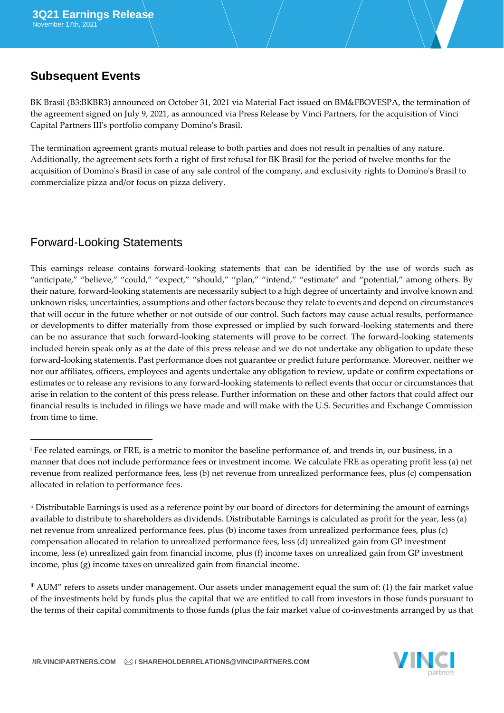### **Subsequent Events**

BK Brasil (B3:BKBR3) announced on October 31, 2021 via Material Fact issued on BM&FBOVESPA, the termination of the agreement signed on July 9, 2021, as announced via Press Release by Vinci Partners, for the acquisition of Vinci Capital Partners III's portfolio company Domino's Brasil.

The termination agreement grants mutual release to both parties and does not result in penalties of any nature. Additionally, the agreement sets forth a right of first refusal for BK Brasil for the period of twelve months for the acquisition of Domino's Brasil in case of any sale control of the company, and exclusivity rights to Domino's Brasil to commercialize pizza and/or focus on pizza delivery.

### Forward-Looking Statements

This earnings release contains forward-looking statements that can be identified by the use of words such as "anticipate," "believe," "could," "expect," "should," "plan," "intend," "estimate" and "potential," among others. By their nature, forward-looking statements are necessarily subject to a high degree of uncertainty and involve known and unknown risks, uncertainties, assumptions and other factors because they relate to events and depend on circumstances that will occur in the future whether or not outside of our control. Such factors may cause actual results, performance or developments to differ materially from those expressed or implied by such forward-looking statements and there can be no assurance that such forward-looking statements will prove to be correct. The forward-looking statements included herein speak only as at the date of this press release and we do not undertake any obligation to update these forward-looking statements. Past performance does not guarantee or predict future performance. Moreover, neither we nor our affiliates, officers, employees and agents undertake any obligation to review, update or confirm expectations or estimates or to release any revisions to any forward-looking statements to reflect events that occur or circumstances that arise in relation to the content of this press release. Further information on these and other factors that could affect our financial results is included in filings we have made and will make with the U.S. Securities and Exchange Commission from time to time.

<sup>iii</sup> AUM" refers to assets under management. Our assets under management equal the sum of: (1) the fair market value of the investments held by funds plus the capital that we are entitled to call from investors in those funds pursuant to the terms of their capital commitments to those funds (plus the fair market value of co-investments arranged by us that



<sup>i</sup> Fee related earnings, or FRE, is a metric to monitor the baseline performance of, and trends in, our business, in a manner that does not include performance fees or investment income. We calculate FRE as operating profit less (a) net revenue from realized performance fees, less (b) net revenue from unrealized performance fees, plus (c) compensation allocated in relation to performance fees.

ii Distributable Earnings is used as a reference point by our board of directors for determining the amount of earnings available to distribute to shareholders as dividends. Distributable Earnings is calculated as profit for the year, less (a) net revenue from unrealized performance fees, plus (b) income taxes from unrealized performance fees, plus (c) compensation allocated in relation to unrealized performance fees, less (d) unrealized gain from GP investment income, less (e) unrealized gain from financial income, plus (f) income taxes on unrealized gain from GP investment income, plus (g) income taxes on unrealized gain from financial income.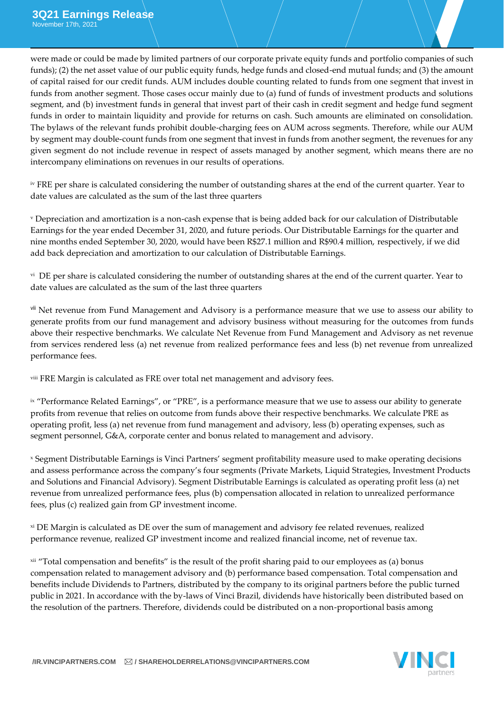were made or could be made by limited partners of our corporate private equity funds and portfolio companies of such funds); (2) the net asset value of our public equity funds, hedge funds and closed-end mutual funds; and (3) the amount of capital raised for our credit funds. AUM includes double counting related to funds from one segment that invest in funds from another segment. Those cases occur mainly due to (a) fund of funds of investment products and solutions segment, and (b) investment funds in general that invest part of their cash in credit segment and hedge fund segment funds in order to maintain liquidity and provide for returns on cash. Such amounts are eliminated on consolidation. The bylaws of the relevant funds prohibit double-charging fees on AUM across segments. Therefore, while our AUM by segment may double-count funds from one segment that invest in funds from another segment, the revenues for any given segment do not include revenue in respect of assets managed by another segment, which means there are no intercompany eliminations on revenues in our results of operations.

iv FRE per share is calculated considering the number of outstanding shares at the end of the current quarter. Year to date values are calculated as the sum of the last three quarters

<sup>v</sup> Depreciation and amortization is a non-cash expense that is being added back for our calculation of Distributable Earnings for the year ended December 31, 2020, and future periods. Our Distributable Earnings for the quarter and nine months ended September 30, 2020, would have been R\$27.1 million and R\$90.4 million, respectively, if we did add back depreciation and amortization to our calculation of Distributable Earnings.

v<sup>i</sup> DE per share is calculated considering the number of outstanding shares at the end of the current quarter. Year to date values are calculated as the sum of the last three quarters

vii Net revenue from Fund Management and Advisory is a performance measure that we use to assess our ability to generate profits from our fund management and advisory business without measuring for the outcomes from funds above their respective benchmarks. We calculate Net Revenue from Fund Management and Advisory as net revenue from services rendered less (a) net revenue from realized performance fees and less (b) net revenue from unrealized performance fees.

viii FRE Margin is calculated as FRE over total net management and advisory fees.

<sup>ix</sup> "Performance Related Earnings", or "PRE", is a performance measure that we use to assess our ability to generate profits from revenue that relies on outcome from funds above their respective benchmarks. We calculate PRE as operating profit, less (a) net revenue from fund management and advisory, less (b) operating expenses, such as segment personnel, G&A, corporate center and bonus related to management and advisory.

<sup>x</sup> Segment Distributable Earnings is Vinci Partners' segment profitability measure used to make operating decisions and assess performance across the company's four segments (Private Markets, Liquid Strategies, Investment Products and Solutions and Financial Advisory). Segment Distributable Earnings is calculated as operating profit less (a) net revenue from unrealized performance fees, plus (b) compensation allocated in relation to unrealized performance fees, plus (c) realized gain from GP investment income.

xi DE Margin is calculated as DE over the sum of management and advisory fee related revenues, realized performance revenue, realized GP investment income and realized financial income, net of revenue tax.

xii "Total compensation and benefits" is the result of the profit sharing paid to our employees as (a) bonus compensation related to management advisory and (b) performance based compensation. Total compensation and benefits include Dividends to Partners, distributed by the company to its original partners before the public turned public in 2021. In accordance with the by-laws of Vinci Brazil, dividends have historically been distributed based on the resolution of the partners. Therefore, dividends could be distributed on a non-proportional basis among

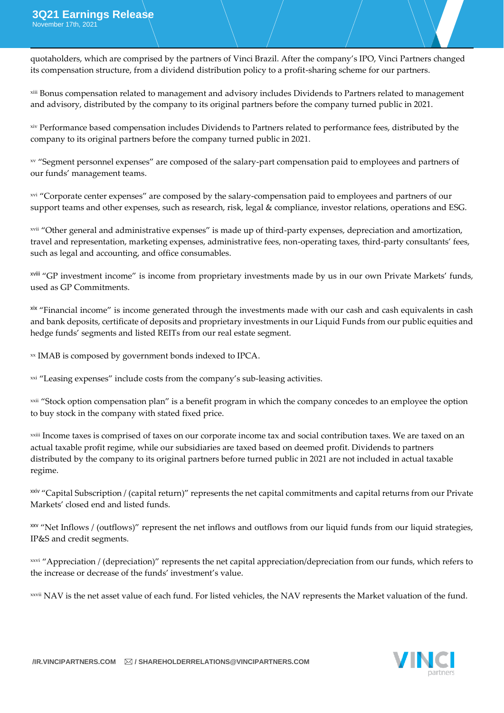quotaholders, which are comprised by the partners of Vinci Brazil. After the company's IPO, Vinci Partners changed its compensation structure, from a dividend distribution policy to a profit-sharing scheme for our partners.

xiii Bonus compensation related to management and advisory includes Dividends to Partners related to management and advisory, distributed by the company to its original partners before the company turned public in 2021.

xiv Performance based compensation includes Dividends to Partners related to performance fees, distributed by the company to its original partners before the company turned public in 2021.

xv "Segment personnel expenses" are composed of the salary-part compensation paid to employees and partners of our funds' management teams.

xvi "Corporate center expenses" are composed by the salary-compensation paid to employees and partners of our support teams and other expenses, such as research, risk, legal & compliance, investor relations, operations and ESG.

xvii "Other general and administrative expenses" is made up of third-party expenses, depreciation and amortization, travel and representation, marketing expenses, administrative fees, non-operating taxes, third-party consultants' fees, such as legal and accounting, and office consumables.

xviii "GP investment income" is income from proprietary investments made by us in our own Private Markets' funds, used as GP Commitments.

xix "Financial income" is income generated through the investments made with our cash and cash equivalents in cash and bank deposits, certificate of deposits and proprietary investments in our Liquid Funds from our public equities and hedge funds' segments and listed REITs from our real estate segment.

xx IMAB is composed by government bonds indexed to IPCA.

xxi "Leasing expenses" include costs from the company's sub-leasing activities.

<sup>xxii</sup> "Stock option compensation plan" is a benefit program in which the company concedes to an employee the option to buy stock in the company with stated fixed price.

xxiii Income taxes is comprised of taxes on our corporate income tax and social contribution taxes. We are taxed on an actual taxable profit regime, while our subsidiaries are taxed based on deemed profit. Dividends to partners distributed by the company to its original partners before turned public in 2021 are not included in actual taxable regime.

<sup>xxiv</sup> "Capital Subscription / (capital return)" represents the net capital commitments and capital returns from our Private Markets' closed end and listed funds.

"Net Inflows / (outflows)" represent the net inflows and outflows from our liquid funds from our liquid strategies, IP&S and credit segments.

xxvi "Appreciation / (depreciation)" represents the net capital appreciation/depreciation from our funds, which refers to the increase or decrease of the funds' investment's value.

xxvii NAV is the net asset value of each fund. For listed vehicles, the NAV represents the Market valuation of the fund.

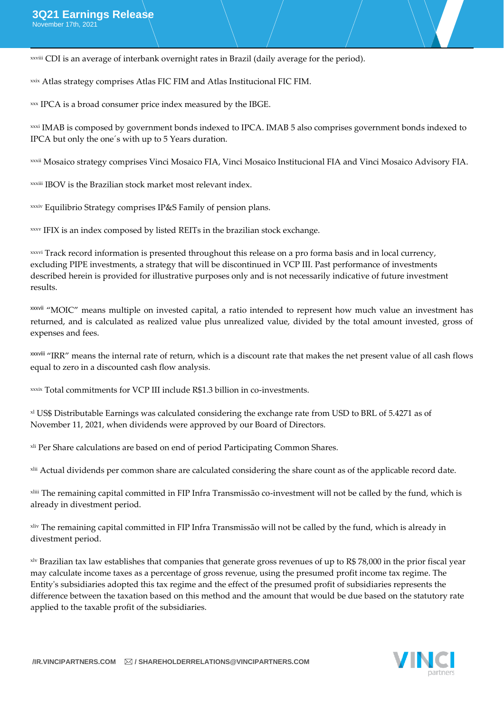xxviii CDI is an average of interbank overnight rates in Brazil (daily average for the period).

xxix Atlas strategy comprises Atlas FIC FIM and Atlas Institucional FIC FIM.

xxx IPCA is a broad consumer price index measured by the IBGE.

xxxi IMAB is composed by government bonds indexed to IPCA. IMAB 5 also comprises government bonds indexed to IPCA but only the one´s with up to 5 Years duration.

xxxii Mosaico strategy comprises Vinci Mosaico FIA, Vinci Mosaico Institucional FIA and Vinci Mosaico Advisory FIA.

xxxiii IBOV is the Brazilian stock market most relevant index.

xxxiv Equilibrio Strategy comprises IP&S Family of pension plans.

xxxv IFIX is an index composed by listed REITs in the brazilian stock exchange.

xxxvi Track record information is presented throughout this release on a pro forma basis and in local currency, excluding PIPE investments, a strategy that will be discontinued in VCP III. Past performance of investments described herein is provided for illustrative purposes only and is not necessarily indicative of future investment results.

xxxvii "MOIC" means multiple on invested capital, a ratio intended to represent how much value an investment has returned, and is calculated as realized value plus unrealized value, divided by the total amount invested, gross of expenses and fees.

xxxviii "IRR" means the internal rate of return, which is a discount rate that makes the net present value of all cash flows equal to zero in a discounted cash flow analysis.

xxxix Total commitments for VCP III include R\$1.3 billion in co-investments.

xl US\$ Distributable Earnings was calculated considering the exchange rate from USD to BRL of 5.4271 as of November 11, 2021, when dividends were approved by our Board of Directors.

xli Per Share calculations are based on end of period Participating Common Shares.

xlii Actual dividends per common share are calculated considering the share count as of the applicable record date.

xliii The remaining capital committed in FIP Infra Transmissão co-investment will not be called by the fund, which is already in divestment period.

xliv The remaining capital committed in FIP Infra Transmissão will not be called by the fund, which is already in divestment period.

xlv Brazilian tax law establishes that companies that generate gross revenues of up to R\$ 78,000 in the prior fiscal year may calculate income taxes as a percentage of gross revenue, using the presumed profit income tax regime. The Entity's subsidiaries adopted this tax regime and the effect of the presumed profit of subsidiaries represents the difference between the taxation based on this method and the amount that would be due based on the statutory rate applied to the taxable profit of the subsidiaries.